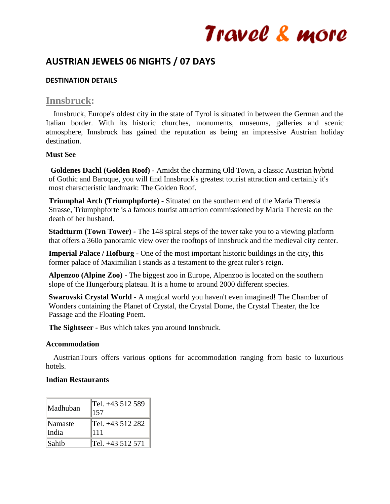# **AUSTRIAN JEWELS 06 NIGHTS / 07 DAYS**

# **DESTINATION DETAILS**

# **Innsbruck:**

 Innsbruck, Europe's oldest city in the state of Tyrol is situated in between the German and the Italian border. With its historic churches, monuments, museums, galleries and scenic atmosphere, Innsbruck has gained the reputation as being an impressive Austrian holiday destination.

### **Must See**

**Goldenes Dachl (Golden Roof) -** Amidst the charming Old Town, a classic Austrian hybrid of Gothic and Baroque, you will find Innsbruck's greatest tourist attraction and certainly it's most characteristic landmark: The Golden Roof.

**Triumphal Arch (Triumphpforte) -** Situated on the southern end of the Maria Theresia Strasse, Triumphpforte is a famous tourist attraction commissioned by Maria Theresia on the death of her husband.

**Stadtturm (Town Tower) -** The 148 spiral steps of the tower take you to a viewing platform that offers a 360o panoramic view over the rooftops of Innsbruck and the medieval city center.

**Imperial Palace / Hofburg -** One of the most important historic buildings in the city, this former palace of Maximilian I stands as a testament to the great ruler's reign.

**Alpenzoo (Alpine Zoo) -** The biggest zoo in Europe, Alpenzoo is located on the southern slope of the Hungerburg plateau. It is a home to around 2000 different species.

**Swarovski Crystal World -** A magical world you haven't even imagined! The Chamber of Wonders containing the Planet of Crystal, the Crystal Dome, the Crystal Theater, the Ice Passage and the Floating Poem.

**The Sightseer -** Bus which takes you around Innsbruck.

### **Accommodation**

 AustrianTours offers various options for accommodation ranging from basic to luxurious hotels.

# **Indian Restaurants**

| ∥Madhuban      | Tel. +43 512 589<br>157 |
|----------------|-------------------------|
| <b>Namaste</b> | Tel. +43 512 282        |
| India          | 111                     |
| <b>Sahib</b>   | Tel. +43 512 571        |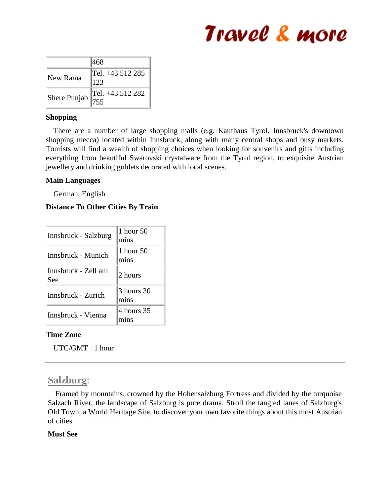|                                                             | 468                     |
|-------------------------------------------------------------|-------------------------|
| New Rama                                                    | Tel. +43 512 285<br>123 |
| Shere Punjab $\begin{bmatrix} 1 & 1 \\ 7 & 5 \end{bmatrix}$ | Tel. +43 512 282        |

### **Shopping**

 There are a number of large shopping malls (e.g. Kaufhaus Tyrol, Innsbruck's downtown shopping mecca) located within Innsbruck, along with many central shops and busy markets. Tourists will find a wealth of shopping choices when looking for souvenirs and gifts including everything from beautiful Swarovski crystalware from the Tyrol region, to exquisite Austrian jewellery and drinking goblets decorated with local scenes.

## **Main Languages**

German, English

# **Distance To Other Cities By Train**

| Innsbruck - Salzburg       | 1 hour 50<br>mins  |
|----------------------------|--------------------|
| Innsbruck - Munich         | 1 hour 50<br>mins  |
| Innsbruck - Zell am<br>See | 2 hours            |
| Innsbruck - Zurich         | 3 hours 30<br>mins |
| Innsbruck - Vienna         | 4 hours 35         |

### **Time Zone**

UTC/GMT +1 hour

# **Salzburg**:

 Framed by mountains, crowned by the Hohensalzburg Fortress and divided by the turquoise Salzach River, the landscape of Salzburg is pure drama. Stroll the tangled lanes of Salzburg's Old Town, a World Heritage Site, to discover your own favorite things about this most Austrian of cities.

### **Must See**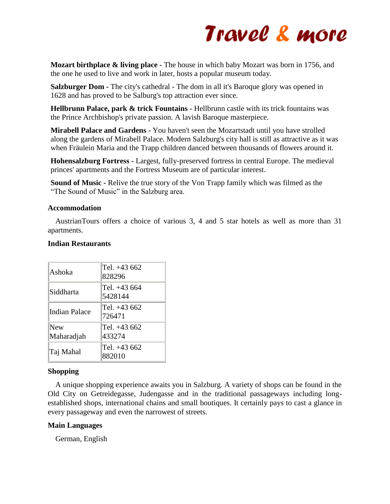**Mozart birthplace & living place -** The house in which baby Mozart was born in 1756, and the one he used to live and work in later, hosts a popular museum today.

**Salzburger Dom -** The city's cathedral - The dom in all it's Baroque glory was opened in 1628 and has proved to be Salburg's top attraction ever since.

**Hellbrunn Palace, park & trick Fountains -** Hellbrunn castle with its trick fountains was the Prince Archbishop's private passion. A lavish Baroque masterpiece.

**Mirabell Palace and Gardens -** You haven't seen the Mozartstadt until you have strolled along the gardens of Mirabell Palace. Modern Salzburg's city hall is still as attractive as it was when Fräulein Maria and the Trapp children danced between thousands of flowers around it.

**Hohensalzburg Fortress -** Largest, fully-preserved fortress in central Europe. The medieval princes' apartments and the Fortress Museum are of particular interest.

**Sound of Music -** Relive the true story of the Von Trapp family which was filmed as the "The Sound of Music" in the Salzburg area.

## **Accommodation**

 AustrianTours offers a choice of various 3, 4 and 5 star hotels as well as more than 31 apartments.

## **Indian Restaurants**

| Ashoka            | Tel. +43 662<br>828296  |
|-------------------|-------------------------|
| Siddharta         | Tel. +43 664<br>5428144 |
| Indian Palace     | Tel. +43 662<br>726471  |
| New<br>Maharadjah | Tel. +43 662<br>433274  |
| Taj Mahal         | Tel. +43 662<br>882010  |

# **Shopping**

 A unique shopping experience awaits you in Salzburg. A variety of shops can be found in the Old City on Getreidegasse, Judengasse and in the traditional passageways including longestablished shops, international chains and small boutiques. It certainly pays to cast a glance in every passageway and even the narrowest of streets.

### **Main Languages**

German, English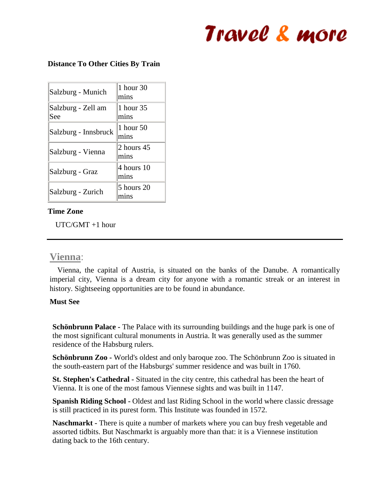#### **Distance To Other Cities By Train**

| Salzburg - Munich         | 1 hour 30<br>mins  |
|---------------------------|--------------------|
| Salzburg - Zell am<br>See | 1 hour 35<br>mins  |
| Salzburg - Innsbruck      | 1 hour 50<br>mins  |
| Salzburg - Vienna         | 2 hours 45<br>mins |
| Salzburg - Graz           | 4 hours 10<br>mins |
| Salzburg - Zurich         | 5 hours 20<br>mıns |

### **Time Zone**

UTC/GMT +1 hour

# **Vienna**:

 Vienna, the capital of Austria, is situated on the banks of the Danube. A romantically imperial city, Vienna is a dream city for anyone with a romantic streak or an interest in history. Sightseeing opportunities are to be found in abundance.

#### **Must See**

**Schönbrunn Palace -** The Palace with its surrounding buildings and the huge park is one of the most significant cultural monuments in Austria. It was generally used as the summer residence of the Habsburg rulers.

**Schönbrunn Zoo -** World's oldest and only baroque zoo. The Schönbrunn Zoo is situated in the south-eastern part of the Habsburgs' summer residence and was built in 1760.

**St. Stephen's Cathedral -** Situated in the city centre, this cathedral has been the heart of Vienna. It is one of the most famous Viennese sights and was built in 1147.

**Spanish Riding School -** Oldest and last Riding School in the world where classic dressage is still practiced in its purest form. This Institute was founded in 1572.

**Naschmarkt -** There is quite a number of markets where you can buy fresh vegetable and assorted tidbits. But Naschmarkt is arguably more than that: it is a Viennese institution dating back to the 16th century.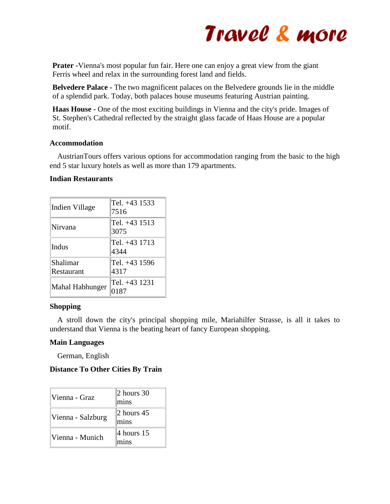

**Prater -**Vienna's most popular fun fair. Here one can enjoy a great view from the giant Ferris wheel and relax in the surrounding forest land and fields.

**Belvedere Palace -** The two magnificent palaces on the Belvedere grounds lie in the middle of a splendid park. Today, both palaces house museums featuring Austrian painting.

**Haas House -** One of the most exciting buildings in Vienna and the city's pride. Images of St. Stephen's Cathedral reflected by the straight glass facade of Haas House are a popular motif.

#### **Accommodation**

 AustrianTours offers various options for accommodation ranging from the basic to the high end 5 star luxury hotels as well as more than 179 apartments.

#### **Indian Restaurants**

| Indien Village         | Tel. +43 1533<br>7516 |
|------------------------|-----------------------|
| Nirvana                | Tel. +43 1513<br>3075 |
| Indus                  | Tel. +43 1713<br>4344 |
| Shalimar<br>Restaurant | Tel. +43 1596<br>4317 |
| Mahal Habhunger        | Tel. +43 1231<br>0187 |

#### **Shopping**

 A stroll down the city's principal shopping mile, Mariahilfer Strasse, is all it takes to understand that Vienna is the beating heart of fancy European shopping.

#### **Main Languages**

German, English

#### **Distance To Other Cities By Train**

| ∣Vienna - Graz    | $ 2$ hours 30<br>mins |
|-------------------|-----------------------|
| Vienna - Salzburg | $ 2$ hours 45<br>mins |
| Vienna - Munich   | $ 4$ hours 15<br>mins |